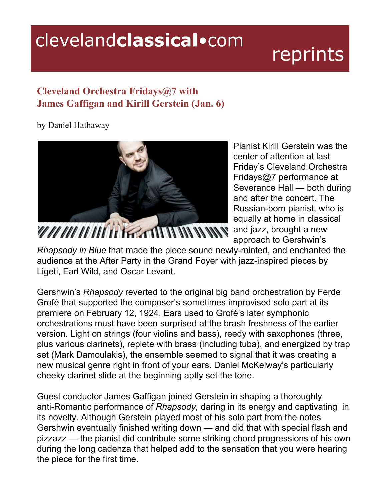## clevelandclassical.com

## reprints

## **Cleveland Orchestra Fridays@7 with James Gaffigan and Kirill Gerstein (Jan. 6)**

by Daniel Hathaway



Pianist Kirill Gerstein was the center of attention at last Friday's Cleveland Orchestra Fridays@7 performance at Severance Hall — both during and after the concert. The Russian-born pianist, who is equally at home in classical approach to Gershwin's

*Rhapsody in Blue* that made the piece sound newly-minted, and enchanted the audience at the After Party in the Grand Foyer with jazz-inspired pieces by Ligeti, Earl Wild, and Oscar Levant.

Gershwin's *Rhapsody* reverted to the original big band orchestration by Ferde Grofé that supported the composer's sometimes improvised solo part at its premiere on February 12, 1924. Ears used to Grofé's later symphonic orchestrations must have been surprised at the brash freshness of the earlier version. Light on strings (four violins and bass), reedy with saxophones (three, plus various clarinets), replete with brass (including tuba), and energized by trap set (Mark Damoulakis), the ensemble seemed to signal that it was creating a new musical genre right in front of your ears. Daniel McKelway's particularly cheeky clarinet slide at the beginning aptly set the tone.

Guest conductor James Gaffigan joined Gerstein in shaping a thoroughly anti-Romantic performance of *Rhapsody,* daring in its energy and captivating in its novelty. Although Gerstein played most of his solo part from the notes Gershwin eventually finished writing down — and did that with special flash and pizzazz — the pianist did contribute some striking chord progressions of his own during the long cadenza that helped add to the sensation that you were hearing the piece for the first time.